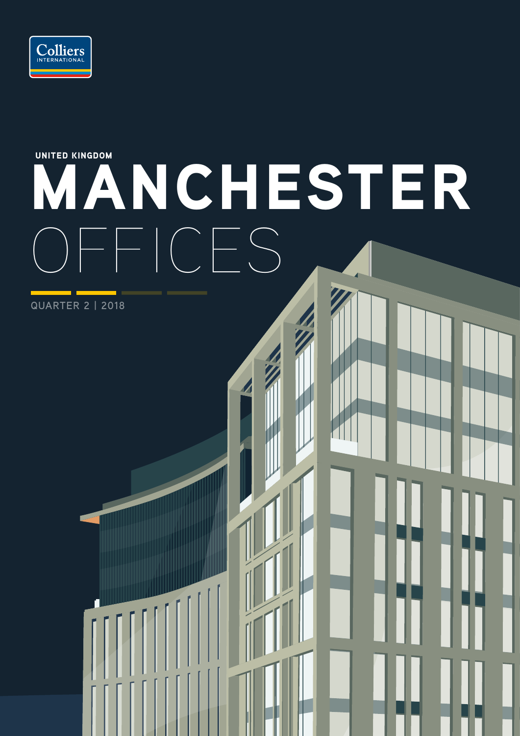

# MANCHESTER  $F = \bigcap_{i=1}^n F_i$ UNITED KINGDOM

**QUARTER 2 | 2018**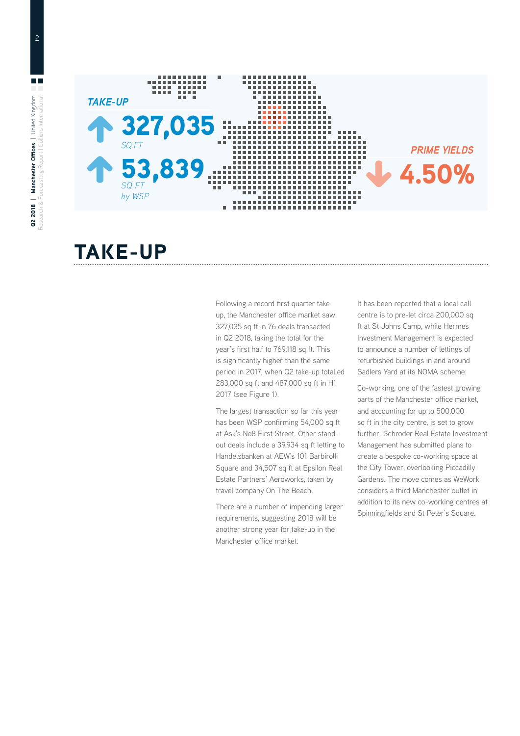

#### TAKE-UP

Following a record first quarter takeup, the Manchester office market saw 327,035 sq ft in 76 deals transacted in Q2 2018, taking the total for the year's first half to 769,118 sq ft. This is significantly higher than the same period in 2017, when Q2 take-up totalled 283,000 sq ft and 487,000 sq ft in H1 2017 (see Figure 1).

The largest transaction so far this year has been WSP confirming 54,000 sq ft at Ask's No8 First Street. Other standout deals include a 39,934 sq ft letting to Handelsbanken at AEW's 101 Barbirolli Square and 34,507 sq ft at Epsilon Real Estate Partners' Aeroworks, taken by travel company On The Beach.

There are a number of impending larger requirements, suggesting 2018 will be another strong year for take-up in the Manchester office market.

It has been reported that a local call centre is to pre-let circa 200,000 sq ft at St Johns Camp, while Hermes Investment Management is expected to announce a number of lettings of refurbished buildings in and around Sadlers Yard at its NOMA scheme.

Co-working, one of the fastest growing parts of the Manchester office market, and accounting for up to 500,000 sq ft in the city centre, is set to grow further. Schroder Real Estate Investment Management has submitted plans to create a bespoke co-working space at the City Tower, overlooking Piccadilly Gardens. The move comes as WeWork considers a third Manchester outlet in addition to its new co-working centres at Spinningfields and St Peter's Square.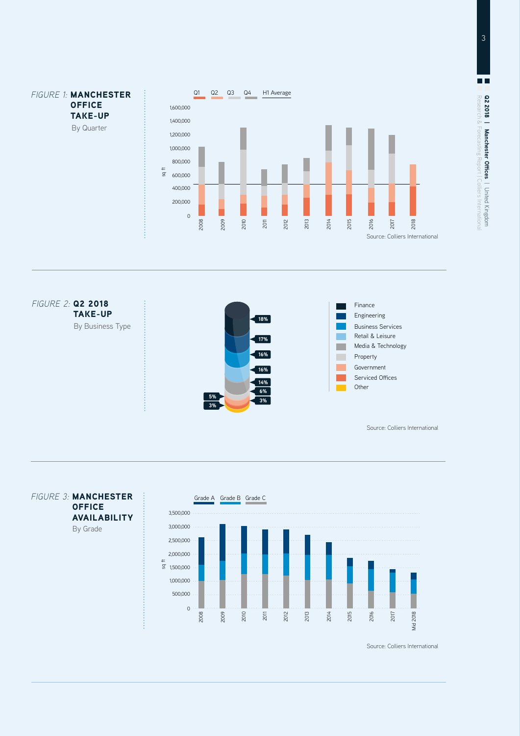





 $\blacksquare$ **Q2 2018 | Manchester Offices |** United Kingdom<br>Research & Forecasting Report | Colliers Internationa Research & Forecasting Report | Colliers International Q2 2018 **| Manchester Offices** | United Kingdom

Source: Colliers International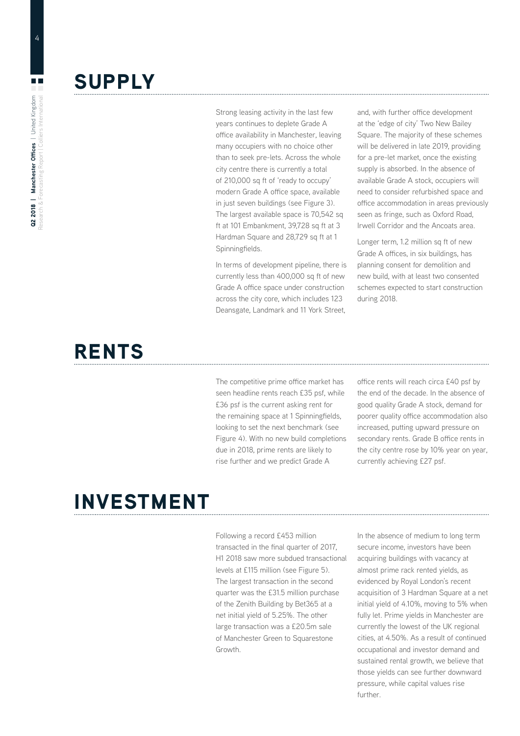## **SUPPLY**

Strong leasing activity in the last few years continues to deplete Grade A office availability in Manchester, leaving many occupiers with no choice other than to seek pre-lets. Across the whole city centre there is currently a total of 210,000 sq ft of 'ready to occupy' modern Grade A office space, available in just seven buildings (see Figure 3). The largest available space is 70,542 sq ft at 101 Embankment, 39,728 sq ft at 3 Hardman Square and 28,729 sq ft at 1 Spinningfields.

In terms of development pipeline, there is currently less than 400,000 sq ft of new Grade A office space under construction across the city core, which includes 123 Deansgate, Landmark and 11 York Street, and, with further office development at the 'edge of city' Two New Bailey Square. The majority of these schemes will be delivered in late 2019, providing for a pre-let market, once the existing supply is absorbed. In the absence of available Grade A stock, occupiers will need to consider refurbished space and office accommodation in areas previously seen as fringe, such as Oxford Road, Irwell Corridor and the Ancoats area.

Longer term, 1.2 million sq ft of new Grade A offices, in six buildings, has planning consent for demolition and new build, with at least two consented schemes expected to start construction during 2018.

## RENTS

The competitive prime office market has seen headline rents reach £35 psf, while £36 psf is the current asking rent for the remaining space at 1 Spinningfields, looking to set the next benchmark (see Figure 4). With no new build completions due in 2018, prime rents are likely to rise further and we predict Grade A

office rents will reach circa £40 psf by the end of the decade. In the absence of good quality Grade A stock, demand for poorer quality office accommodation also increased, putting upward pressure on secondary rents. Grade B office rents in the city centre rose by 10% year on year, currently achieving £27 psf.

## INVESTMENT

Following a record £453 million transacted in the final quarter of 2017, H1 2018 saw more subdued transactional levels at £115 million (see Figure 5). The largest transaction in the second quarter was the £31.5 million purchase of the Zenith Building by Bet365 at a net initial yield of 5.25%. The other large transaction was a £20.5m sale of Manchester Green to Squarestone Growth.

In the absence of medium to long term secure income, investors have been acquiring buildings with vacancy at almost prime rack rented yields, as evidenced by Royal London's recent acquisition of 3 Hardman Square at a net initial yield of 4.10%, moving to 5% when fully let. Prime yields in Manchester are currently the lowest of the UK regional cities, at 4.50%. As a result of continued occupational and investor demand and sustained rental growth, we believe that those yields can see further downward pressure, while capital values rise further.

 $\Box$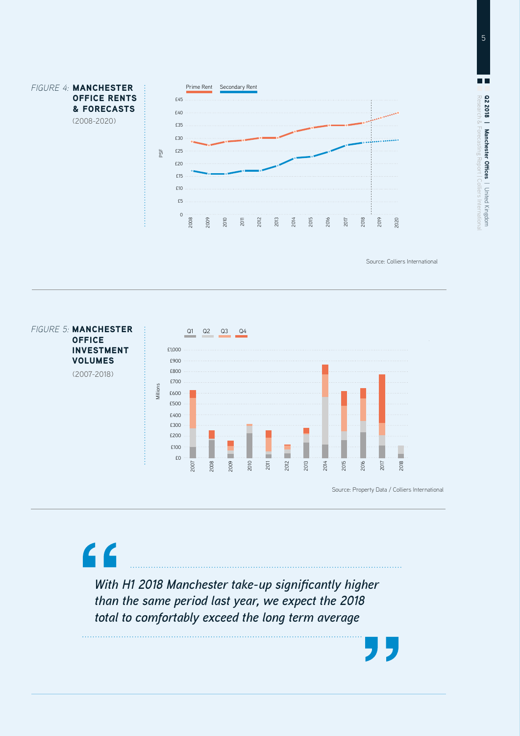

Source: Colliers International



*With H1 2018 Manchester take-up significantly higher than the same period last year, we expect the 2018 total to comfortably exceed the long term average*

 $\epsilon$ 

5

 $\blacksquare$